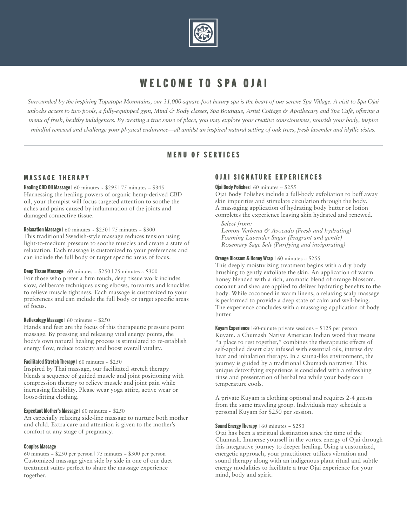

# WELCOME TO SPA OJAI

*Surrounded by the inspiring Topatopa Mountains, our 31,000-square-foot luxury spa is the heart of our serene Spa Village. A visit to Spa Ojai unlocks access to two pools, a fully-equipped gym, Mind & Body classes, Spa Boutique, Artist Cottage & Apothecary and Spa Café, offering a menu of fresh, healthy indulgences. By creating a true sense of place, you may explore your creative consciousness, nourish your body, inspire mindful renewal and challenge your physical endurance—all amidst an inspired natural setting of oak trees, fresh lavender and idyllic vistas.*

# MENU OF SERVICES

# MASSAGE THERAPY

**Healing CBD Oil Massage** | 60 minutes  $\sim$  \$295 | 75 minutes  $\sim$  \$345 Harnessing the healing powers of organic hemp-derived CBD oil, your therapist will focus targeted attention to soothe the aches and pains caused by inflammation of the joints and damaged connective tissue.

## **Relaxation Massage** | 60 minutes  $\sim$  \$250 | 75 minutes  $\sim$  \$300

This traditional Swedish-style massage reduces tension using light-to-medium pressure to soothe muscles and create a state of relaxation. Each massage is customized to your preferences and can include the full body or target specific areas of focus.

#### **Deep Tissue Massage** | 60 minutes  $\sim$  \$250 | 75 minutes  $\sim$  \$300

For those who prefer a firm touch, deep tissue work includes slow, deliberate techniques using elbows, forearms and knuckles to relieve muscle tightness. Each massage is customized to your preferences and can include the full body or target specific areas of focus.

#### **Reflexology Massage** | 60 minutes  $\sim$  \$250

Hands and feet are the focus of this therapeutic pressure point massage. By pressing and releasing vital energy points, the body's own natural healing process is stimulated to re-establish energy flow, reduce toxicity and boost overall vitality.

## Facilitated Stretch Therapy | 60 minutes ~ \$250

Inspired by Thai massage, our facilitated stretch therapy blends a sequence of guided muscle and joint positioning with compression therapy to relieve muscle and joint pain while increasing flexibility. Please wear yoga attire, active wear or loose-fitting clothing.

## Expectant Mother's Massage | 60 minutes ~ \$250

An especially relaxing side-line massage to nurture both mother and child. Extra care and attention is given to the mother's comfort at any stage of pregnancy.

## Couples Massage

60 minutes ~ \$250 per person | 75 minutes ~ \$300 per person Customized massage given side by side in one of our duet treatment suites perfect to share the massage experience together.

# OJAI SIGNATURE EXPERIENCES

#### Ojai Body Polishes  $\vert$  60 minutes  $\sim$  \$255

Ojai Body Polishes include a full-body exfoliation to buff away skin impurities and stimulate circulation through the body. A massaging application of hydrating body butter or lotion completes the experience leaving skin hydrated and renewed.

*Select from:* 

*Lemon Verbena & Avocado (Fresh and hydrating) Foaming Lavender Sugar (Fragrant and gentle) Rosemary Sage Salt (Purifying and invigorating)*

#### **Orange Blossom & Honey Wrap**  $\vert$  60 minutes  $\sim$  \$255

This deeply moisturizing treatment begins with a dry body brushing to gently exfoliate the skin. An application of warm honey blended with a rich, aromatic blend of orange blossom, coconut and shea are applied to deliver hydrating benefits to the body. While cocooned in warm linens, a relaxing scalp massage is performed to provide a deep state of calm and well-being. The experience concludes with a massaging application of body butter.

**Kuyam Experience** |  $60$ -minute private sessions  $\sim $125$  per person Kuyam, a Chumash Native American Indian word that means "a place to rest together," combines the therapeutic effects of self-applied desert clay infused with essential oils, intense dry heat and inhalation therapy. In a sauna-like environment, the journey is guided by a traditional Chumash narrative. This unique detoxifying experience is concluded with a refreshing rinse and presentation of herbal tea while your body core temperature cools.

A private Kuyam is clothing optional and requires 2-4 guests from the same traveling group. Individuals may schedule a personal Kuyam for \$250 per session.

#### **Sound Energy Therapy**  $\vert$  60 minutes  $\sim$  \$250

Ojai has been a spiritual destination since the time of the Chumash. Immerse yourself in the vortex energy of Ojai through this integrative journey to deeper healing. Using a customized, energetic approach, your practitioner utilizes vibration and sound therapy along with an indigenous plant ritual and subtle energy modalities to facilitate a true Ojai experience for your mind, body and spirit.